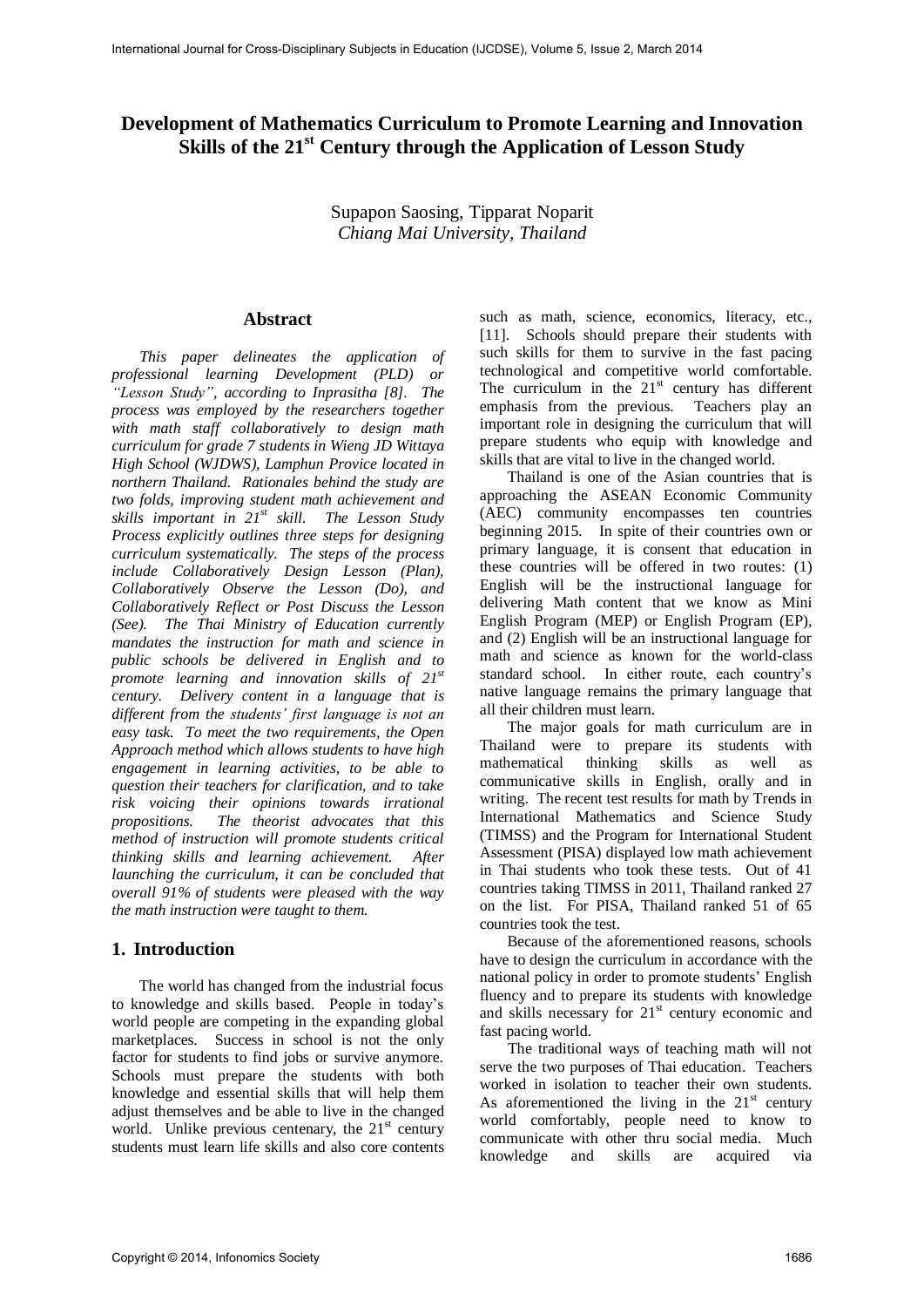# **Development of Mathematics Curriculum to Promote Learning and Innovation Skills of the 21st Century through the Application of Lesson Study**

Supapon Saosing, Tipparat Noparit *Chiang Mai University, Thailand* 

## **Abstract**

*This paper delineates the application of professional learning Development (PLD) or "Lesson Study", according to Inprasitha [8]. The process was employed by the researchers together with math staff collaboratively to design math curriculum for grade 7 students in Wieng JD Wittaya High School (WJDWS), Lamphun Provice located in northern Thailand. Rationales behind the study are two folds, improving student math achievement and skills important in 21st skill. The Lesson Study Process explicitly outlines three steps for designing curriculum systematically. The steps of the process include Collaboratively Design Lesson (Plan), Collaboratively Observe the Lesson (Do), and Collaboratively Reflect or Post Discuss the Lesson (See). The Thai Ministry of Education currently mandates the instruction for math and science in public schools be delivered in English and to promote learning and innovation skills of 21st century. Delivery content in a language that is different from the students' first language is not an easy task. To meet the two requirements, the Open Approach method which allows students to have high engagement in learning activities, to be able to question their teachers for clarification, and to take risk voicing their opinions towards irrational propositions. The theorist advocates that this method of instruction will promote students critical thinking skills and learning achievement. After launching the curriculum, it can be concluded that overall 91% of students were pleased with the way the math instruction were taught to them.* 

## **1. Introduction**

The world has changed from the industrial focus to knowledge and skills based. People in today's world people are competing in the expanding global marketplaces. Success in school is not the only factor for students to find jobs or survive anymore. Schools must prepare the students with both knowledge and essential skills that will help them adjust themselves and be able to live in the changed world. Unlike previous centenary, the  $21<sup>st</sup>$  century students must learn life skills and also core contents

such as math, science, economics, literacy, etc., [11]. Schools should prepare their students with such skills for them to survive in the fast pacing technological and competitive world comfortable. The curriculum in the  $21<sup>st</sup>$  century has different emphasis from the previous. Teachers play an important role in designing the curriculum that will prepare students who equip with knowledge and skills that are vital to live in the changed world.

Thailand is one of the Asian countries that is approaching the ASEAN Economic Community (AEC) community encompasses ten countries beginning 2015. In spite of their countries own or primary language, it is consent that education in these countries will be offered in two routes: (1) English will be the instructional language for delivering Math content that we know as Mini English Program (MEP) or English Program (EP), and (2) English will be an instructional language for math and science as known for the world-class standard school. In either route, each country's native language remains the primary language that all their children must learn.

The major goals for math curriculum are in Thailand were to prepare its students with mathematical thinking skills as well as communicative skills in English, orally and in writing. The recent test results for math by Trends in International Mathematics and Science Study (TIMSS) and the Program for International Student Assessment (PISA) displayed low math achievement in Thai students who took these tests. Out of 41 countries taking TIMSS in 2011, Thailand ranked 27 on the list. For PISA, Thailand ranked 51 of 65 countries took the test.

Because of the aforementioned reasons, schools have to design the curriculum in accordance with the national policy in order to promote students' English fluency and to prepare its students with knowledge and skills necessary for  $21<sup>st</sup>$  century economic and fast pacing world.

The traditional ways of teaching math will not serve the two purposes of Thai education. Teachers worked in isolation to teacher their own students. As aforementioned the living in the  $21<sup>st</sup>$  century world comfortably, people need to know to communicate with other thru social media. Much knowledge and skills are acquired via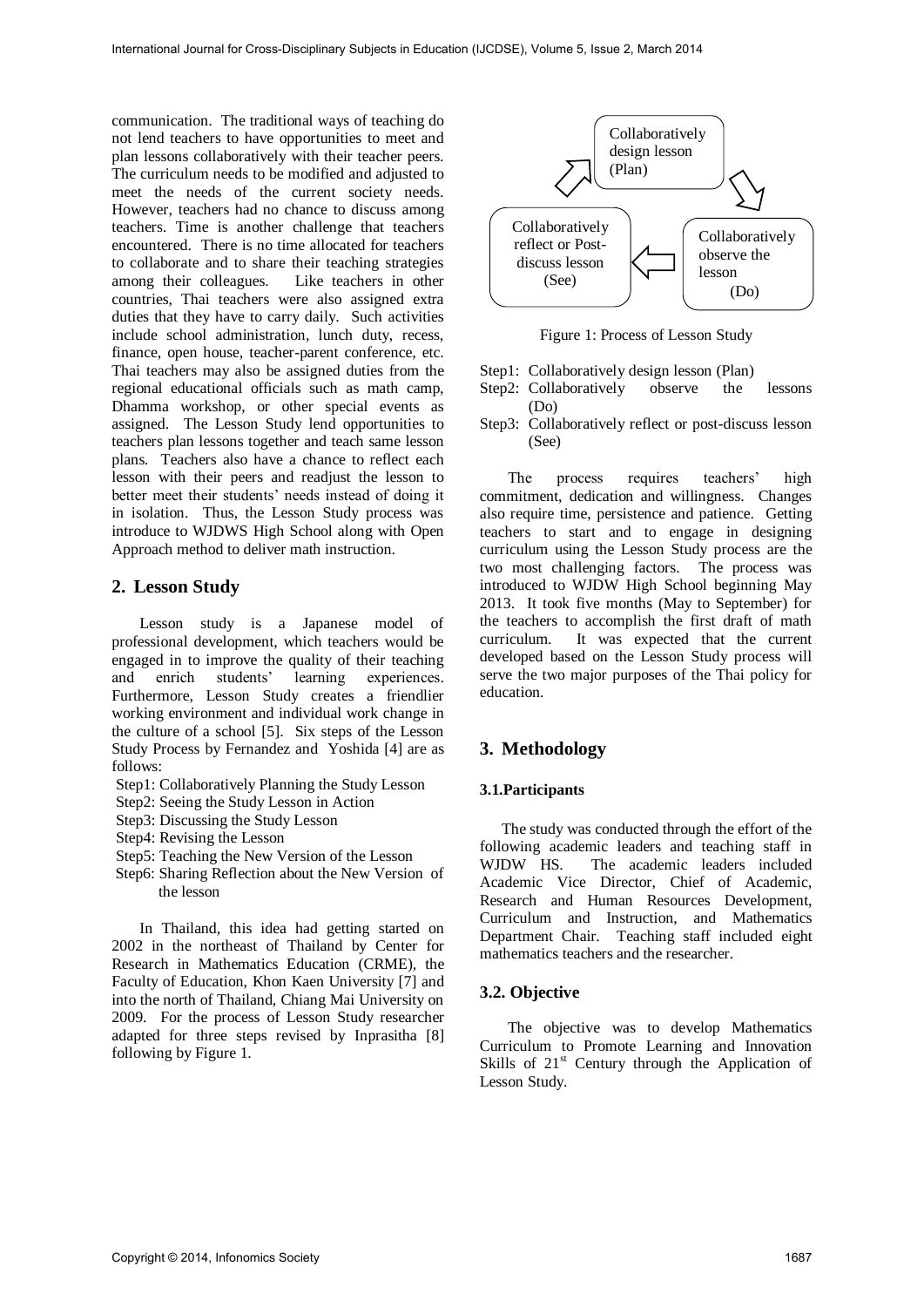communication. The traditional ways of teaching do not lend teachers to have opportunities to meet and plan lessons collaboratively with their teacher peers. The curriculum needs to be modified and adjusted to meet the needs of the current society needs. However, teachers had no chance to discuss among teachers. Time is another challenge that teachers encountered. There is no time allocated for teachers to collaborate and to share their teaching strategies among their colleagues. Like teachers in other countries, Thai teachers were also assigned extra duties that they have to carry daily. Such activities include school administration, lunch duty, recess, finance, open house, teacher-parent conference, etc. Thai teachers may also be assigned duties from the regional educational officials such as math camp, Dhamma workshop, or other special events as assigned. The Lesson Study lend opportunities to teachers plan lessons together and teach same lesson plans. Teachers also have a chance to reflect each lesson with their peers and readjust the lesson to better meet their students' needs instead of doing it in isolation. Thus, the Lesson Study process was introduce to WJDWS High School along with Open Approach method to deliver math instruction.

## **2. Lesson Study**

Lesson study is a Japanese model of professional development, which teachers would be engaged in to improve the quality of their teaching and enrich students' learning experiences. Furthermore, Lesson Study creates a friendlier working environment and individual work change in the culture of a school [5]. Six steps of the Lesson Study Process by Fernandez and Yoshida [4] are as follows:

- Step1: Collaboratively Planning the Study Lesson
- Step2: Seeing the Study Lesson in Action
- Step3: Discussing the Study Lesson
- Step4: Revising the Lesson
- Step5: Teaching the New Version of the Lesson
- Step6: Sharing Reflection about the New Version of the lesson

In Thailand, this idea had getting started on 2002 in the northeast of Thailand by Center for Research in Mathematics Education (CRME), the Faculty of Education, Khon Kaen University [7] and into the north of Thailand, Chiang Mai University on 2009. For the process of Lesson Study researcher adapted for three steps revised by Inprasitha [8] following by Figure 1.



Figure 1: Process of Lesson Study

- Step1:Collaboratively design lesson (Plan)
- Step2: Collaboratively observe the lessons (Do)
- Step3: Collaboratively reflect or post-discuss lesson (See)

The process requires teachers' high commitment, dedication and willingness. Changes also require time, persistence and patience. Getting teachers to start and to engage in designing curriculum using the Lesson Study process are the two most challenging factors. The process was introduced to WJDW High School beginning May 2013. It took five months (May to September) for the teachers to accomplish the first draft of math curriculum. It was expected that the current developed based on the Lesson Study process will serve the two major purposes of the Thai policy for education.

## **3. Methodology**

### **3.1.Participants**

The study was conducted through the effort of the following academic leaders and teaching staff in WJDW HS. The academic leaders included The academic leaders included Academic Vice Director, Chief of Academic, Research and Human Resources Development, Curriculum and Instruction, and Mathematics Department Chair. Teaching staff included eight mathematics teachers and the researcher.

### **3.2. Objective**

The objective was to develop Mathematics Curriculum to Promote Learning and Innovation Skills of  $21<sup>st</sup>$  Century through the Application of Lesson Study.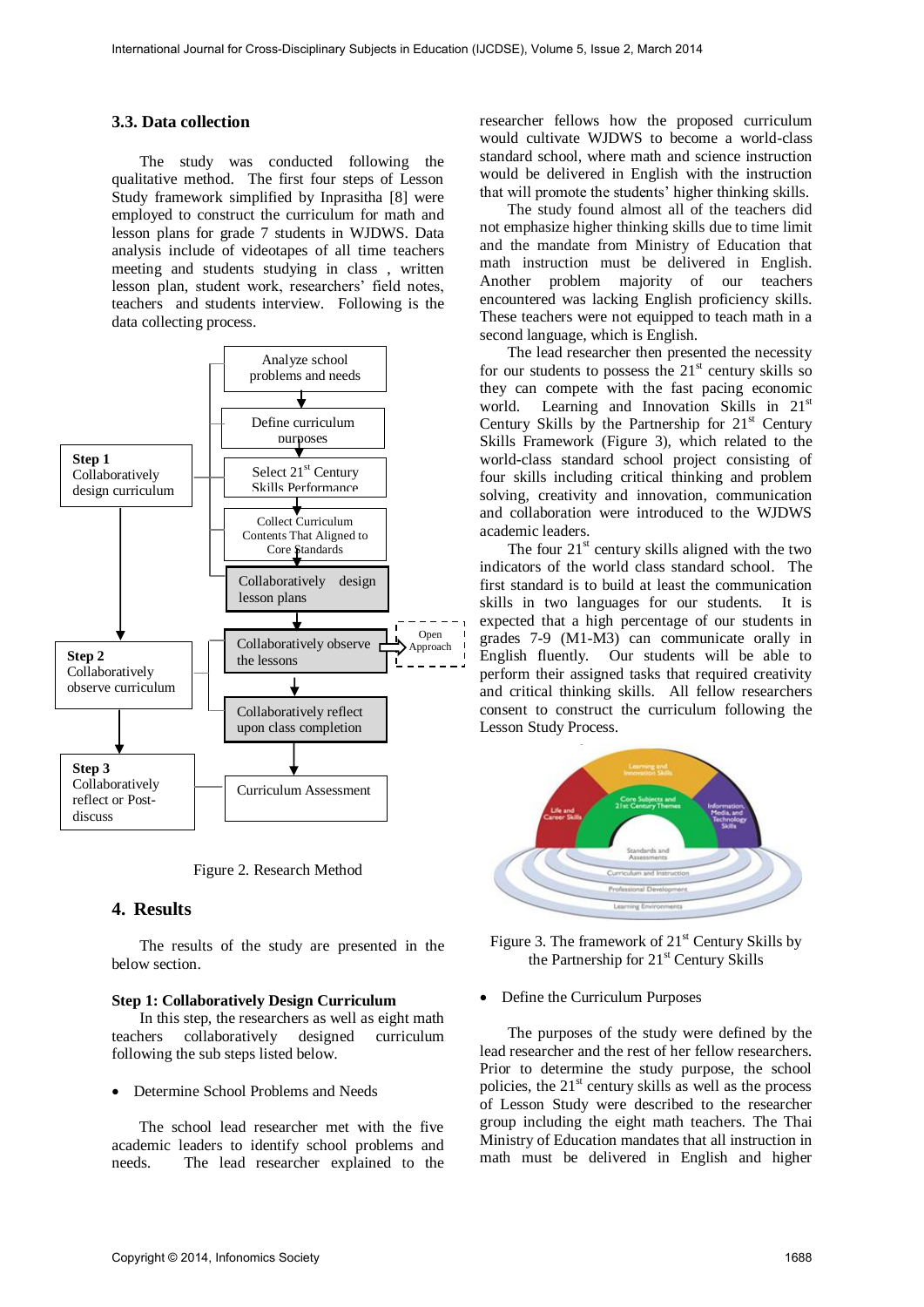### **3.3. Data collection**

The study was conducted following the qualitative method. The first four steps of Lesson Study framework simplified by Inprasitha [8] were employed to construct the curriculum for math and lesson plans for grade 7 students in WJDWS. Data analysis include of videotapes of all time teachers meeting and students studying in class , written lesson plan, student work, researchers' field notes, teachers and students interview. Following is the data collecting process.



Figure 2. Research Method

## **4. Results**

The results of the study are presented in the below section.

#### **Step 1: Collaboratively Design Curriculum**

In this step, the researchers as well as eight math teachers collaboratively designed curriculum following the sub steps listed below.

#### Determine School Problems and Needs

The school lead researcher met with the five academic leaders to identify school problems and needs. The lead researcher explained to the researcher fellows how the proposed curriculum would cultivate WJDWS to become a world-class standard school, where math and science instruction would be delivered in English with the instruction that will promote the students' higher thinking skills.

The study found almost all of the teachers did not emphasize higher thinking skills due to time limit and the mandate from Ministry of Education that math instruction must be delivered in English. Another problem majority of our teachers encountered was lacking English proficiency skills. These teachers were not equipped to teach math in a second language, which is English.

The lead researcher then presented the necessity for our students to possess the  $21<sup>st</sup>$  century skills so they can compete with the fast pacing economic world. Learning and Innovation Skills in 21<sup>st</sup> Century Skills by the Partnership for  $21<sup>st</sup>$  Century Skills Framework (Figure 3), which related to the world-class standard school project consisting of four skills including critical thinking and problem solving, creativity and innovation, communication and collaboration were introduced to the WJDWS academic leaders.

The four  $21<sup>st</sup>$  century skills aligned with the two indicators of the world class standard school. The first standard is to build at least the communication skills in two languages for our students. It is expected that a high percentage of our students in grades 7-9 (M1-M3) can communicate orally in English fluently. Our students will be able to perform their assigned tasks that required creativity and critical thinking skills. All fellow researchers consent to construct the curriculum following the Lesson Study Process.



Figure 3. The framework of  $21<sup>st</sup>$  Century Skills by the Partnership for  $21<sup>st</sup>$  Century Skills

#### • Define the Curriculum Purposes

The purposes of the study were defined by the lead researcher and the rest of her fellow researchers. Prior to determine the study purpose, the school policies, the  $21<sup>st</sup>$  century skills as well as the process of Lesson Study were described to the researcher group including the eight math teachers. The Thai Ministry of Education mandates that all instruction in math must be delivered in English and higher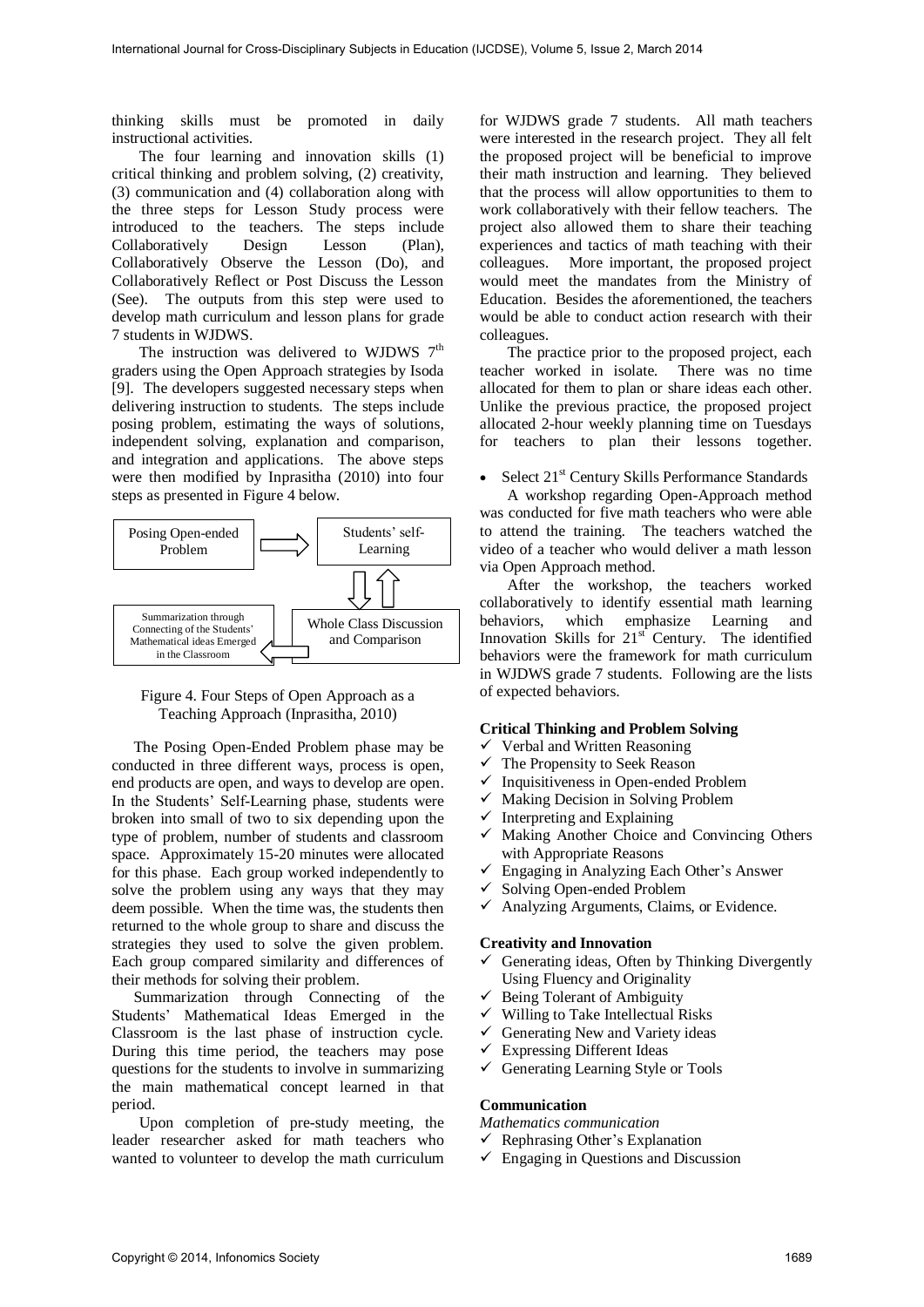thinking skills must be promoted in daily instructional activities.

The four learning and innovation skills (1) critical thinking and problem solving, (2) creativity, (3) communication and (4) collaboration along with the three steps for Lesson Study process were introduced to the teachers. The steps include Collaboratively Design Lesson (Plan), Collaboratively Observe the Lesson (Do), and Collaboratively Reflect or Post Discuss the Lesson (See). The outputs from this step were used to develop math curriculum and lesson plans for grade 7 students in WJDWS.

The instruction was delivered to WJDWS  $7<sup>th</sup>$ graders using the Open Approach strategies by Isoda [9]. The developers suggested necessary steps when delivering instruction to students. The steps include posing problem, estimating the ways of solutions, independent solving, explanation and comparison, and integration and applications. The above steps were then modified by Inprasitha (2010) into four steps as presented in Figure 4 below.



Figure 4. Four Steps of Open Approach as a Teaching Approach (Inprasitha, 2010)

The Posing Open-Ended Problem phase may be conducted in three different ways, process is open, end products are open, and ways to develop are open. In the Students' Self-Learning phase, students were broken into small of two to six depending upon the type of problem, number of students and classroom space. Approximately 15-20 minutes were allocated for this phase. Each group worked independently to solve the problem using any ways that they may deem possible. When the time was, the students then returned to the whole group to share and discuss the strategies they used to solve the given problem. Each group compared similarity and differences of their methods for solving their problem.

Summarization through Connecting of the Students' Mathematical Ideas Emerged in the Classroom is the last phase of instruction cycle. During this time period, the teachers may pose questions for the students to involve in summarizing the main mathematical concept learned in that period.

Upon completion of pre-study meeting, the leader researcher asked for math teachers who wanted to volunteer to develop the math curriculum

for WJDWS grade 7 students. All math teachers were interested in the research project. They all felt the proposed project will be beneficial to improve their math instruction and learning. They believed that the process will allow opportunities to them to work collaboratively with their fellow teachers. The project also allowed them to share their teaching experiences and tactics of math teaching with their colleagues. More important, the proposed project would meet the mandates from the Ministry of Education. Besides the aforementioned, the teachers would be able to conduct action research with their colleagues.

The practice prior to the proposed project, each teacher worked in isolate. There was no time allocated for them to plan or share ideas each other. Unlike the previous practice, the proposed project allocated 2-hour weekly planning time on Tuesdays for teachers to plan their lessons together.

• Select 21<sup>st</sup> Century Skills Performance Standards

A workshop regarding Open-Approach method was conducted for five math teachers who were able to attend the training. The teachers watched the video of a teacher who would deliver a math lesson via Open Approach method.

After the workshop, the teachers worked collaboratively to identify essential math learning behaviors, which emphasize Learning and Innovation Skills for  $21<sup>st</sup>$  Century. The identified behaviors were the framework for math curriculum in WJDWS grade 7 students. Following are the lists of expected behaviors.

#### **Critical Thinking and Problem Solving**

- $\checkmark$  Verbal and Written Reasoning
- $\checkmark$  The Propensity to Seek Reason
- $\checkmark$  Inquisitiveness in Open-ended Problem
- $\checkmark$  Making Decision in Solving Problem
- $\checkmark$  Interpreting and Explaining
- $\checkmark$  Making Another Choice and Convincing Others with Appropriate Reasons
- $\checkmark$  Engaging in Analyzing Each Other's Answer
- $\checkmark$  Solving Open-ended Problem
- $\checkmark$  Analyzing Arguments, Claims, or Evidence.

#### **Creativity and Innovation**

- $\checkmark$  Generating ideas, Often by Thinking Divergently Using Fluency and Originality
- $\checkmark$  Being Tolerant of Ambiguity
- $\checkmark$  Willing to Take Intellectual Risks
- $\checkmark$  Generating New and Variety ideas
- $\checkmark$  Expressing Different Ideas
- $\checkmark$  Generating Learning Style or Tools

#### **Communication**

*Mathematics communication* 

- $\checkmark$  Rephrasing Other's Explanation
- $\checkmark$  Engaging in Questions and Discussion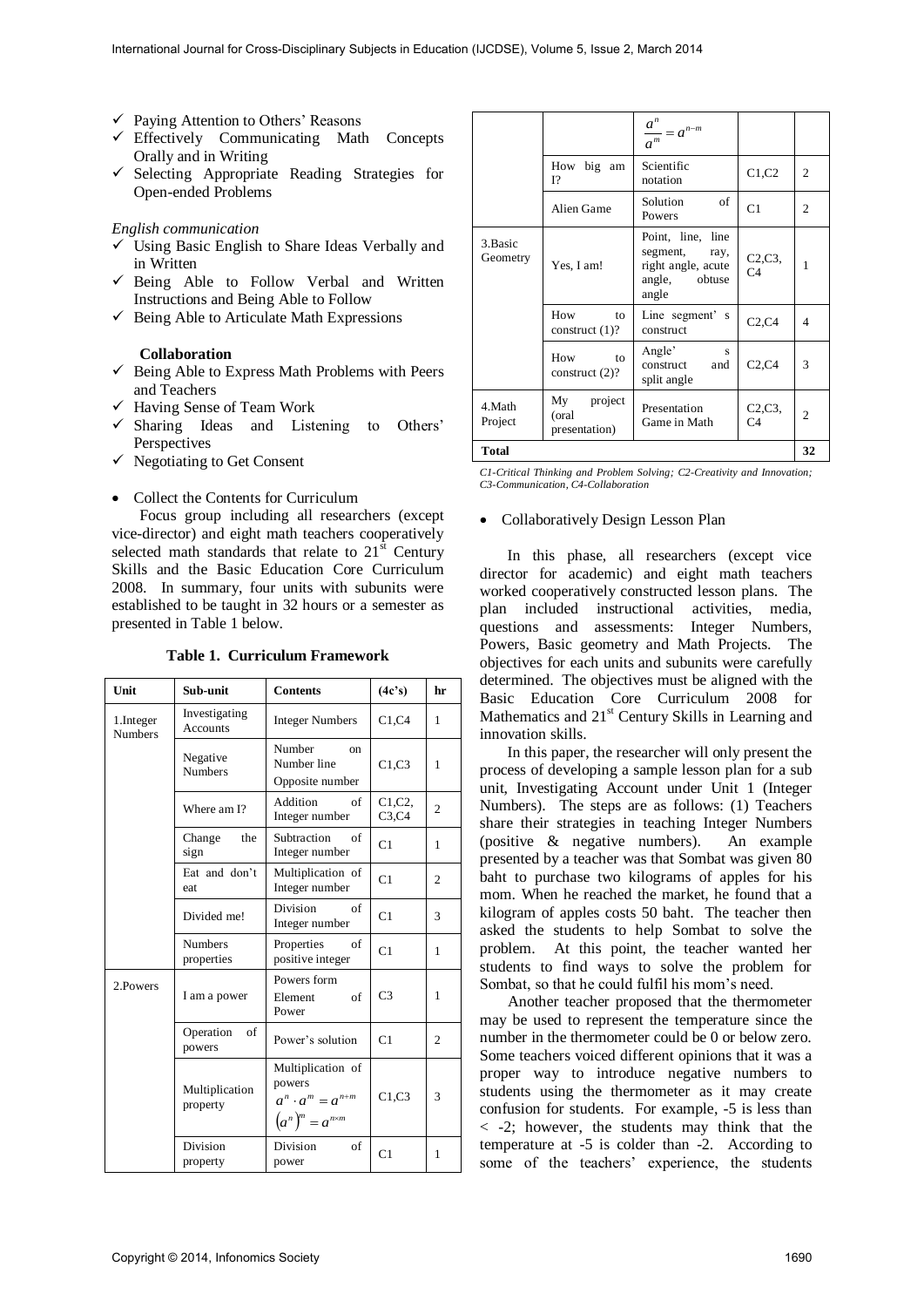- $\checkmark$  Paying Attention to Others' Reasons
- Effectively Communicating Math Concepts Orally and in Writing
- $\checkmark$  Selecting Appropriate Reading Strategies for Open-ended Problems

#### *English communication*

- $\checkmark$  Using Basic English to Share Ideas Verbally and in Written
- $\checkmark$  Being Able to Follow Verbal and Written Instructions and Being Able to Follow
- $\checkmark$  Being Able to Articulate Math Expressions

### **Collaboration**

- $\checkmark$  Being Able to Express Math Problems with Peers and Teachers
- $\checkmark$  Having Sense of Team Work
- $\checkmark$  Sharing Ideas and Listening to Others' Perspectives
- $\checkmark$  Negotiating to Get Consent
- Collect the Contents for Curriculum

Focus group including all researchers (except vice-director) and eight math teachers cooperatively selected math standards that relate to  $21<sup>st</sup>$  Century Skills and the Basic Education Core Curriculum 2008. In summary, four units with subunits were established to be taught in 32 hours or a semester as presented in Table 1 below.

**Table 1. Curriculum Framework** 

| Unit                         | Sub-unit                         | <b>Contents</b>                                                                        | (4c's)                                     | hr             |
|------------------------------|----------------------------------|----------------------------------------------------------------------------------------|--------------------------------------------|----------------|
| 1. Integer<br><b>Numbers</b> | Investigating<br><b>Accounts</b> | <b>Integer Numbers</b>                                                                 | C1,C4                                      | 1              |
|                              | Negative<br><b>Numbers</b>       | Number<br><sub>on</sub><br>Number line<br>Opposite number                              | C1,C3                                      | 1              |
|                              | Where am I?                      | Addition<br>of<br>Integer number                                                       | C <sub>1</sub> , C <sub>2</sub> ,<br>C3,C4 | $\overline{c}$ |
|                              | the<br>Change<br>sign            | Subtraction<br>of<br>Integer number                                                    | C1                                         | 1              |
|                              | Eat and don't<br>eat             | Multiplication of<br>Integer number                                                    | C1                                         | 2              |
|                              | Divided me!                      | <b>Division</b><br>of<br>Integer number                                                | C1                                         | 3              |
|                              | <b>Numbers</b><br>properties     | Properties<br>of<br>positive integer                                                   | C1                                         | 1              |
| 2. Powers                    | I am a power                     | Powers form<br>Element<br>of<br>Power                                                  | C <sub>3</sub>                             | 1              |
|                              | Operation<br>of<br>powers        | Power's solution                                                                       | C <sub>1</sub>                             | 2              |
|                              | Multiplication<br>property       | Multiplication of<br>powers<br>$a^n \cdot a^m = a^{n+m}$<br>$(a^n)^m = a^{n \times m}$ | C1, C3                                     | 3              |
|                              | Division<br>property             | Division<br>of<br>power                                                                | C <sub>1</sub>                             | 1              |

|                      |                                       | $\frac{a^n}{a^m} = a^{n-m}$                                                           |                           |                |
|----------------------|---------------------------------------|---------------------------------------------------------------------------------------|---------------------------|----------------|
|                      | How big am<br>12                      | Scientific<br>notation                                                                | C1, C2                    | 2              |
|                      | Alien Game                            | of<br>Solution<br>Powers                                                              | C1                        | 2              |
| 3. Basic<br>Geometry | Yes, I am!                            | Point, line, line<br>segment,<br>ray,<br>right angle, acute<br>angle, obtuse<br>angle | C2, C3, C4                | 1              |
|                      | How<br>to<br>construct $(1)$ ?        | Line segment's<br>construct                                                           | C2,C4                     | 4              |
|                      | How<br>to<br>construct $(2)$ ?        | Angle'<br>s<br>construct<br>and<br>split angle                                        | C2,C4                     | 3              |
| 4.Math<br>Project    | My project<br>(oral)<br>presentation) | Presentation<br>Game in Math                                                          | C2, C3,<br>C <sub>4</sub> | $\overline{c}$ |
| <b>Total</b>         |                                       |                                                                                       |                           |                |

*C1-Critical Thinking and Problem Solving; C2-Creativity and Innovation; C3-Communication, C4-Collaboration* 

### Collaboratively Design Lesson Plan

In this phase, all researchers (except vice director for academic) and eight math teachers worked cooperatively constructed lesson plans. The plan included instructional activities, media, questions and assessments: Integer Numbers, Powers, Basic geometry and Math Projects. The objectives for each units and subunits were carefully determined. The objectives must be aligned with the Basic Education Core Curriculum 2008 for Mathematics and  $21<sup>st</sup>$  Century Skills in Learning and innovation skills.

In this paper, the researcher will only present the process of developing a sample lesson plan for a sub unit, Investigating Account under Unit 1 (Integer Numbers). The steps are as follows: (1) Teachers share their strategies in teaching Integer Numbers (positive & negative numbers). An example presented by a teacher was that Sombat was given 80 baht to purchase two kilograms of apples for his mom. When he reached the market, he found that a kilogram of apples costs 50 baht. The teacher then asked the students to help Sombat to solve the problem. At this point, the teacher wanted her students to find ways to solve the problem for Sombat, so that he could fulfil his mom's need.

Another teacher proposed that the thermometer may be used to represent the temperature since the number in the thermometer could be 0 or below zero. Some teachers voiced different opinions that it was a proper way to introduce negative numbers to students using the thermometer as it may create confusion for students. For example, -5 is less than < -2; however, the students may think that the temperature at -5 is colder than -2. According to some of the teachers' experience, the students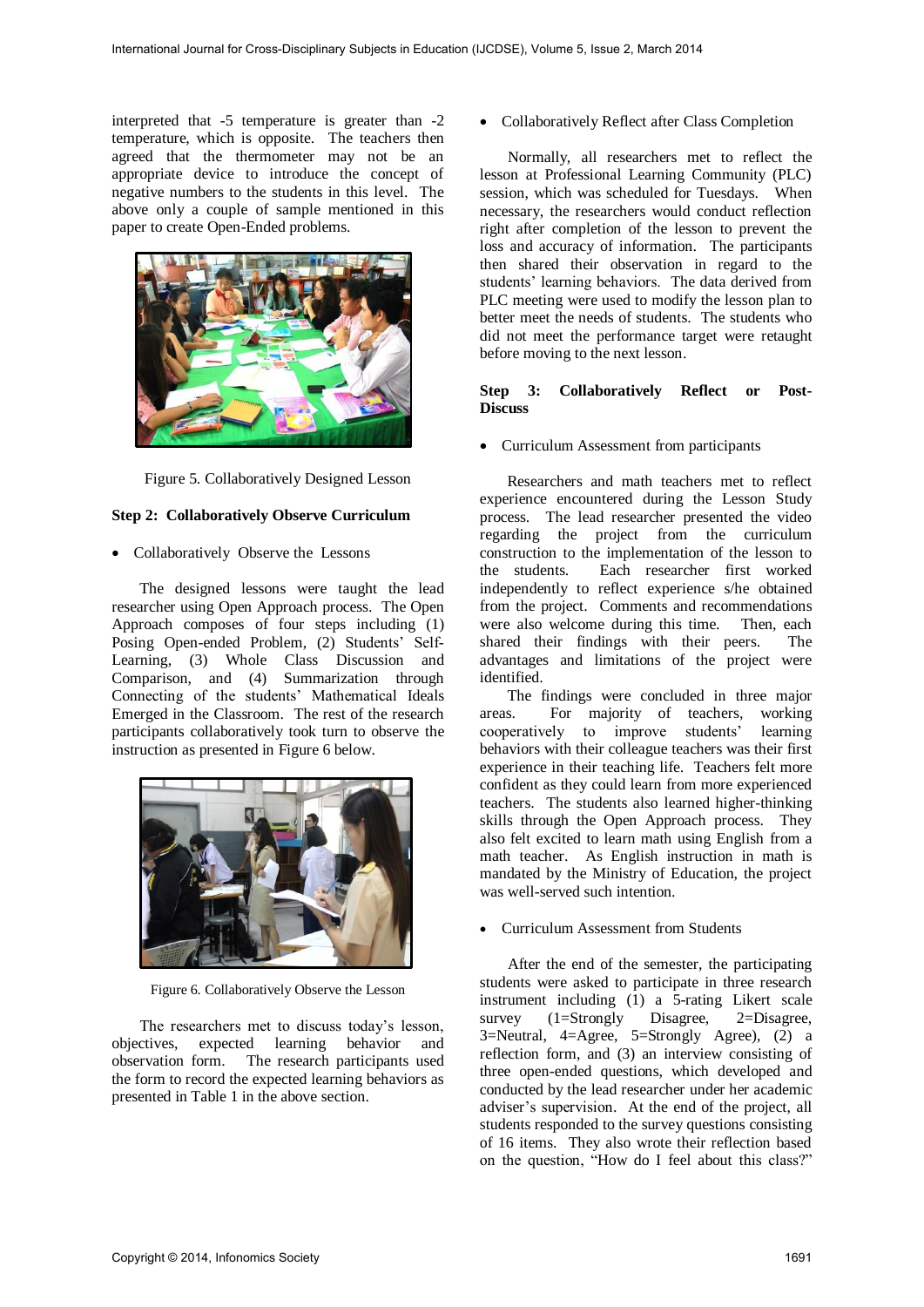interpreted that -5 temperature is greater than -2 temperature, which is opposite. The teachers then agreed that the thermometer may not be an appropriate device to introduce the concept of negative numbers to the students in this level. The above only a couple of sample mentioned in this paper to create Open-Ended problems.



Figure 5. Collaboratively Designed Lesson

### **Step 2: Collaboratively Observe Curriculum**

• Collaboratively Observe the Lessons

The designed lessons were taught the lead researcher using Open Approach process. The Open Approach composes of four steps including (1) Posing Open-ended Problem, (2) Students' Self-Learning, (3) Whole Class Discussion and Comparison, and (4) Summarization through Connecting of the students' Mathematical Ideals Emerged in the Classroom. The rest of the research participants collaboratively took turn to observe the instruction as presented in Figure 6 below.



Figure 6. Collaboratively Observe the Lesson

The researchers met to discuss today's lesson, objectives, expected learning behavior and observation form. The research participants used the form to record the expected learning behaviors as presented in Table 1 in the above section.

Collaboratively Reflect after Class Completion

Normally, all researchers met to reflect the lesson at Professional Learning Community (PLC) session, which was scheduled for Tuesdays. When necessary, the researchers would conduct reflection right after completion of the lesson to prevent the loss and accuracy of information. The participants then shared their observation in regard to the students' learning behaviors. The data derived from PLC meeting were used to modify the lesson plan to better meet the needs of students. The students who did not meet the performance target were retaught before moving to the next lesson.

#### **Step 3: Collaboratively Reflect or Post-Discuss**

Curriculum Assessment from participants

Researchers and math teachers met to reflect experience encountered during the Lesson Study process. The lead researcher presented the video regarding the project from the curriculum construction to the implementation of the lesson to the students. Each researcher first worked independently to reflect experience s/he obtained from the project. Comments and recommendations were also welcome during this time. Then, each shared their findings with their peers. The advantages and limitations of the project were identified.

The findings were concluded in three major areas. For majority of teachers, working cooperatively to improve students' learning behaviors with their colleague teachers was their first experience in their teaching life. Teachers felt more confident as they could learn from more experienced teachers. The students also learned higher-thinking skills through the Open Approach process. They also felt excited to learn math using English from a math teacher. As English instruction in math is mandated by the Ministry of Education, the project was well-served such intention.

Curriculum Assessment from Students

After the end of the semester, the participating students were asked to participate in three research instrument including (1) a 5-rating Likert scale survey (1=Strongly Disagree, 2=Disagree,  $3=$ Neutral,  $4=$ Agree,  $5=$ Strongly Agree),  $(2)$  a reflection form, and (3) an interview consisting of three open-ended questions, which developed and conducted by the lead researcher under her academic adviser's supervision. At the end of the project, all students responded to the survey questions consisting of 16 items. They also wrote their reflection based on the question, "How do I feel about this class?"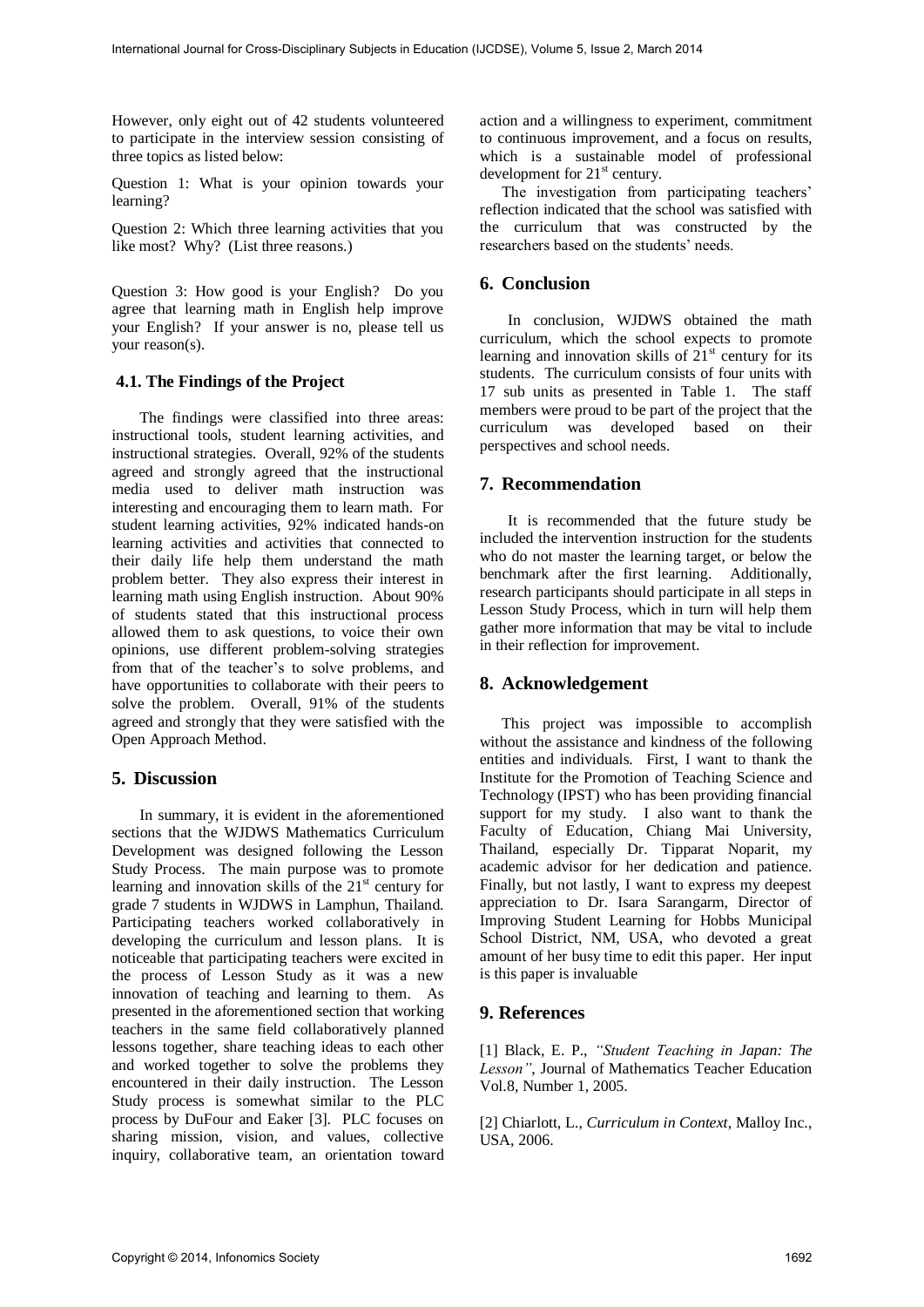However, only eight out of 42 students volunteered to participate in the interview session consisting of three topics as listed below:

Question 1: What is your opinion towards your learning?

Question 2: Which three learning activities that you like most? Why? (List three reasons.)

Question 3: How good is your English? Do you agree that learning math in English help improve your English? If your answer is no, please tell us your reason(s).

## **4.1. The Findings of the Project**

The findings were classified into three areas: instructional tools, student learning activities, and instructional strategies. Overall, 92% of the students agreed and strongly agreed that the instructional media used to deliver math instruction was interesting and encouraging them to learn math. For student learning activities, 92% indicated hands-on learning activities and activities that connected to their daily life help them understand the math problem better. They also express their interest in learning math using English instruction. About 90% of students stated that this instructional process allowed them to ask questions, to voice their own opinions, use different problem-solving strategies from that of the teacher's to solve problems, and have opportunities to collaborate with their peers to solve the problem. Overall, 91% of the students agreed and strongly that they were satisfied with the Open Approach Method.

## **5. Discussion**

In summary, it is evident in the aforementioned sections that the WJDWS Mathematics Curriculum Development was designed following the Lesson Study Process. The main purpose was to promote learning and innovation skills of the  $21<sup>st</sup>$  century for grade 7 students in WJDWS in Lamphun, Thailand. Participating teachers worked collaboratively in developing the curriculum and lesson plans. It is noticeable that participating teachers were excited in the process of Lesson Study as it was a new innovation of teaching and learning to them. As presented in the aforementioned section that working teachers in the same field collaboratively planned lessons together, share teaching ideas to each other and worked together to solve the problems they encountered in their daily instruction. The Lesson Study process is somewhat similar to the PLC process by DuFour and Eaker [3]. PLC focuses on sharing mission, vision, and values, collective inquiry, collaborative team, an orientation toward action and a willingness to experiment, commitment to continuous improvement, and a focus on results, which is a sustainable model of professional development for  $21<sup>st</sup>$  century.

The investigation from participating teachers' reflection indicated that the school was satisfied with the curriculum that was constructed by the researchers based on the students' needs.

## **6. Conclusion**

In conclusion, WJDWS obtained the math curriculum, which the school expects to promote learning and innovation skills of  $21<sup>st</sup>$  century for its students. The curriculum consists of four units with 17 sub units as presented in Table 1. The staff members were proud to be part of the project that the curriculum was developed based on their perspectives and school needs.

## **7. Recommendation**

It is recommended that the future study be included the intervention instruction for the students who do not master the learning target, or below the benchmark after the first learning. Additionally, research participants should participate in all steps in Lesson Study Process, which in turn will help them gather more information that may be vital to include in their reflection for improvement.

## **8. Acknowledgement**

This project was impossible to accomplish without the assistance and kindness of the following entities and individuals. First, I want to thank the Institute for the Promotion of Teaching Science and Technology (IPST) who has been providing financial support for my study. I also want to thank the Faculty of Education, Chiang Mai University, Thailand, especially Dr. Tipparat Noparit, my academic advisor for her dedication and patience. Finally, but not lastly, I want to express my deepest appreciation to Dr. Isara Sarangarm, Director of Improving Student Learning for Hobbs Municipal School District, NM, USA, who devoted a great amount of her busy time to edit this paper. Her input is this paper is invaluable

## **9. References**

[1] Black, E. P., *"Student Teaching in Japan: The Lesson"*, Journal of Mathematics Teacher Education Vol.8, Number 1, 2005.

[2] Chiarlott, L., *Curriculum in Context*, Malloy Inc., USA, 2006.